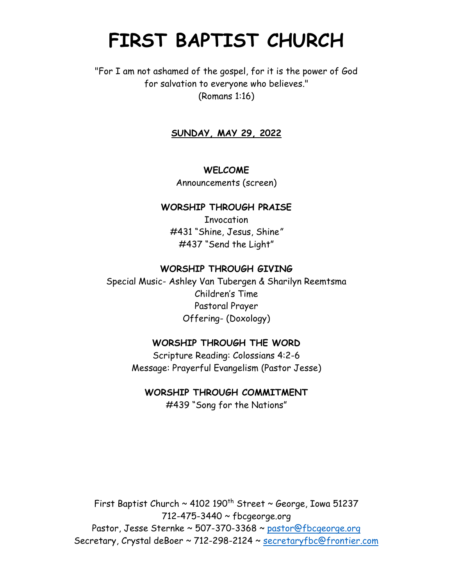# **FIRST BAPTIST CHURCH**

## "For I am not ashamed of the gospel, for it is the power of God for salvation to everyone who believes." (Romans 1:16)

### **SUNDAY, MAY 29, 2022**

#### **WELCOME**

Announcements (screen)

#### **WORSHIP THROUGH PRAISE**

**Invocation** #431 "Shine, Jesus, Shine*"* #437 "Send the Light"

#### **WORSHIP THROUGH GIVING**

Special Music- Ashley Van Tubergen & Sharilyn Reemtsma Children's Time Pastoral Prayer Offering- (Doxology)

#### **WORSHIP THROUGH THE WORD**

Scripture Reading: Colossians 4:2-6 Message: Prayerful Evangelism (Pastor Jesse)

#### **WORSHIP THROUGH COMMITMENT**

#439 "Song for the Nations"

First Baptist Church  $\sim$  4102 190<sup>th</sup> Street  $\sim$  George, Iowa 51237 712-475-3440 ~ fbcgeorge.org Pastor, Jesse Sternke ~ 507-370-3368 ~ pastor@fbcgeorge.org Secretary, Crystal deBoer ~ 712-298-2124 ~ [secretaryfbc@frontier.com](mailto:secretaryfbc@frontier.com)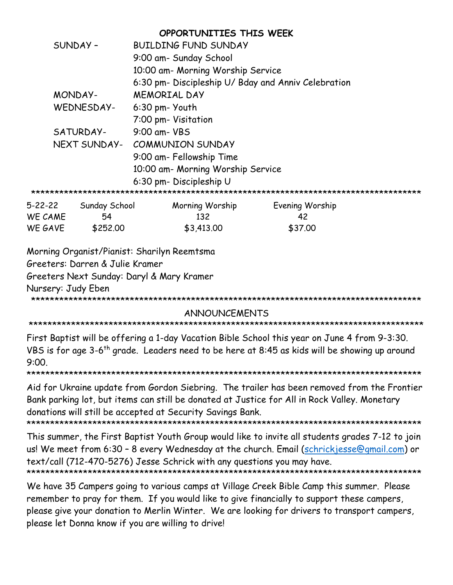|                                           |               | OPPORTUNITIES THIS WEEK                                                                                                                                                                                                                                   |                 |  |
|-------------------------------------------|---------------|-----------------------------------------------------------------------------------------------------------------------------------------------------------------------------------------------------------------------------------------------------------|-----------------|--|
| SUNDAY-                                   |               | <b>BUILDING FUND SUNDAY</b>                                                                                                                                                                                                                               |                 |  |
|                                           |               | 9:00 am- Sunday School                                                                                                                                                                                                                                    |                 |  |
|                                           |               | 10:00 am- Morning Worship Service                                                                                                                                                                                                                         |                 |  |
|                                           |               | 6:30 pm- Discipleship U/ Bday and Anniv Celebration                                                                                                                                                                                                       |                 |  |
| MONDAY-                                   |               | <b>MEMORIAL DAY</b>                                                                                                                                                                                                                                       |                 |  |
| WEDNESDAY-                                |               | 6:30 pm- Youth                                                                                                                                                                                                                                            |                 |  |
|                                           |               | 7:00 pm- Visitation                                                                                                                                                                                                                                       |                 |  |
| SATURDAY-                                 |               | 9:00 am- VBS                                                                                                                                                                                                                                              |                 |  |
| NEXT SUNDAY-                              |               | <b>COMMUNION SUNDAY</b>                                                                                                                                                                                                                                   |                 |  |
|                                           |               | 9:00 am- Fellowship Time                                                                                                                                                                                                                                  |                 |  |
|                                           |               | 10:00 am- Morning Worship Service                                                                                                                                                                                                                         |                 |  |
|                                           |               | 6:30 pm- Discipleship U                                                                                                                                                                                                                                   |                 |  |
|                                           |               |                                                                                                                                                                                                                                                           |                 |  |
| $5 - 22 - 22$                             | Sunday School | Morning Worship                                                                                                                                                                                                                                           | Evening Worship |  |
| WE CAME                                   | 54            | 132                                                                                                                                                                                                                                                       | 42              |  |
| WE GAVE                                   | \$252.00      | \$3,413.00                                                                                                                                                                                                                                                | \$37.00         |  |
|                                           |               | Morning Organist/Pianist: Sharilyn Reemtsma                                                                                                                                                                                                               |                 |  |
| Greeters: Darren & Julie Kramer           |               |                                                                                                                                                                                                                                                           |                 |  |
| Greeters Next Sunday: Daryl & Mary Kramer |               |                                                                                                                                                                                                                                                           |                 |  |
| Nursery: Judy Eben                        |               |                                                                                                                                                                                                                                                           |                 |  |
|                                           |               |                                                                                                                                                                                                                                                           |                 |  |
| <b>ANNOUNCEMENTS</b>                      |               |                                                                                                                                                                                                                                                           |                 |  |
|                                           |               |                                                                                                                                                                                                                                                           |                 |  |
| 9:00.                                     |               | First Baptist will be offering a 1-day Vacation Bible School this year on June 4 from 9-3:30.<br>VBS is for age 3-6 <sup>th</sup> grade. Leaders need to be here at 8:45 as kids will be showing up around                                                |                 |  |
|                                           |               | Aid for Ukraine update from Gordon Siebring. The trailer has been removed from the Frontier<br>Bank parking lot, but items can still be donated at Justice for All in Rock Valley. Monetary<br>donations will still be accepted at Security Savings Bank. |                 |  |
|                                           |               |                                                                                                                                                                                                                                                           |                 |  |

This summer, the First Baptist Youth Group would like to invite all students grades 7-12 to join us! We meet from 6:30 - 8 every Wednesday at the church. Email [\(schrickjesse@gmail.com\)](mailto:schrickjesse@gmail.com) or text/call (712-470-5276) Jesse Schrick with any questions you may have. \*\*\*\*\*\*\*\*\*\*\*\*\*\*\*\*\*\*\*\*\*\*\*\*\*\*\*\*\*\*\*\*\*\*\*\*\*\*\*\*\*\*\*\*\*\*\*\*\*\*\*\*\*\*\*\*\*\*\*\*\*\*\*\*\*\*\*\*\*\*\*\*\*\*\*\*\*\*\*\*\*\*\*\*

We have 35 Campers going to various camps at Village Creek Bible Camp this summer. Please remember to pray for them. If you would like to give financially to support these campers, please give your donation to Merlin Winter. We are looking for drivers to transport campers, please let Donna know if you are willing to drive!